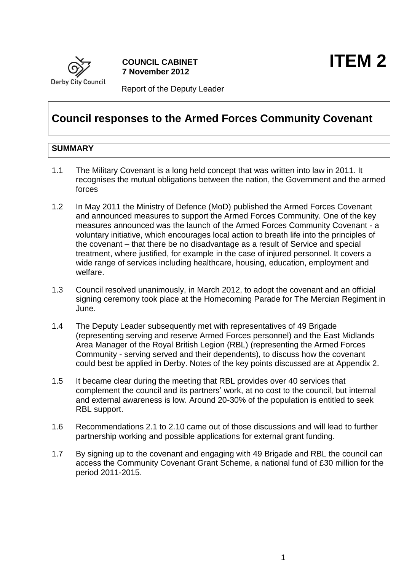

Report of the Deputy Leader

# **Council responses to the Armed Forces Community Covenant**

# **SUMMARY**

- 1.1 The Military Covenant is a long held concept that was written into law in 2011. It recognises the mutual obligations between the nation, the Government and the armed forces
- 1.2 In May 2011 the Ministry of Defence (MoD) published the Armed Forces Covenant and announced measures to support the Armed Forces Community. One of the key measures announced was the launch of the Armed Forces Community Covenant - a voluntary initiative, which encourages local action to breath life into the principles of the covenant – that there be no disadvantage as a result of Service and special treatment, where justified, for example in the case of injured personnel. It covers a wide range of services including healthcare, housing, education, employment and welfare.
- 1.3 Council resolved unanimously, in March 2012, to adopt the covenant and an official signing ceremony took place at the Homecoming Parade for The Mercian Regiment in June.
- 1.4 The Deputy Leader subsequently met with representatives of 49 Brigade (representing serving and reserve Armed Forces personnel) and the East Midlands Area Manager of the Royal British Legion (RBL) (representing the Armed Forces Community - serving served and their dependents), to discuss how the covenant could best be applied in Derby. Notes of the key points discussed are at Appendix 2.
- 1.5 It became clear during the meeting that RBL provides over 40 services that complement the council and its partners' work, at no cost to the council, but internal and external awareness is low. Around 20-30% of the population is entitled to seek RBL support.
- 1.6 Recommendations 2.1 to 2.10 came out of those discussions and will lead to further partnership working and possible applications for external grant funding.
- 1.7 By signing up to the covenant and engaging with 49 Brigade and RBL the council can access the Community Covenant Grant Scheme, a national fund of £30 million for the period 2011-2015.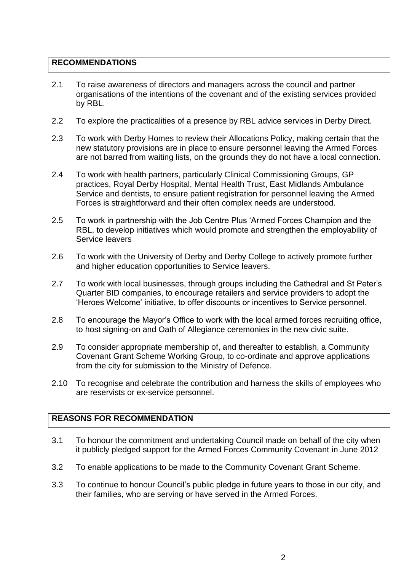# **RECOMMENDATIONS**

- 2.1 To raise awareness of directors and managers across the council and partner organisations of the intentions of the covenant and of the existing services provided by RBL.
- 2.2 To explore the practicalities of a presence by RBL advice services in Derby Direct.
- 2.3 To work with Derby Homes to review their Allocations Policy, making certain that the new statutory provisions are in place to ensure personnel leaving the Armed Forces are not barred from waiting lists, on the grounds they do not have a local connection.
- 2.4 To work with health partners, particularly Clinical Commissioning Groups, GP practices, Royal Derby Hospital, Mental Health Trust, East Midlands Ambulance Service and dentists, to ensure patient registration for personnel leaving the Armed Forces is straightforward and their often complex needs are understood.
- 2.5 To work in partnership with the Job Centre Plus 'Armed Forces Champion and the RBL, to develop initiatives which would promote and strengthen the employability of Service leavers
- 2.6 To work with the University of Derby and Derby College to actively promote further and higher education opportunities to Service leavers.
- 2.7 To work with local businesses, through groups including the Cathedral and St Peter's Quarter BID companies, to encourage retailers and service providers to adopt the 'Heroes Welcome' initiative, to offer discounts or incentives to Service personnel.
- 2.8 To encourage the Mayor's Office to work with the local armed forces recruiting office, to host signing-on and Oath of Allegiance ceremonies in the new civic suite.
- 2.9 To consider appropriate membership of, and thereafter to establish, a Community Covenant Grant Scheme Working Group, to co-ordinate and approve applications from the city for submission to the Ministry of Defence.
- 2.10 To recognise and celebrate the contribution and harness the skills of employees who are reservists or ex-service personnel.

# **REASONS FOR RECOMMENDATION**

- 3.1 To honour the commitment and undertaking Council made on behalf of the city when it publicly pledged support for the Armed Forces Community Covenant in June 2012
- 3.2 To enable applications to be made to the Community Covenant Grant Scheme.
- 3.3 To continue to honour Council's public pledge in future years to those in our city, and their families, who are serving or have served in the Armed Forces.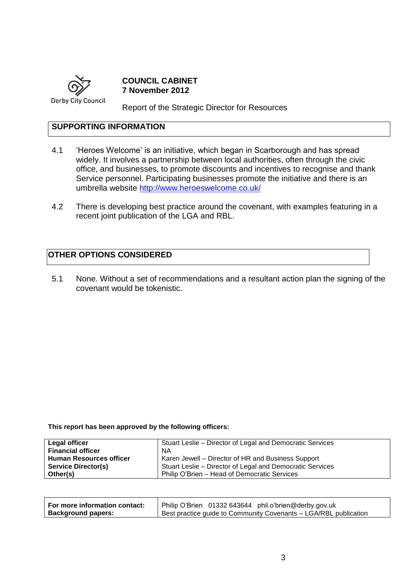

**COUNCIL CABINET 7 November 2012**

Report of the Strategic Director for Resources

# **SUPPORTING INFORMATION**

- 4.1 'Heroes Welcome' is an initiative, which began in Scarborough and has spread widely. It involves a partnership between local authorities, often through the civic office, and businesses, to promote discounts and incentives to recognise and thank Service personnel. Participating businesses promote the initiative and there is an umbrella website<http://www.heroeswelcome.co.uk/>
- 4.2 There is developing best practice around the covenant, with examples featuring in a recent joint publication of the LGA and RBL.

# **OTHER OPTIONS CONSIDERED**

5.1 None. Without a set of recommendations and a resultant action plan the signing of the covenant would be tokenistic.

**This report has been approved by the following officers:**

| Legal officer                  | Stuart Leslie – Director of Legal and Democratic Services |
|--------------------------------|-----------------------------------------------------------|
| <b>Financial officer</b>       | ΝA                                                        |
| <b>Human Resources officer</b> | Karen Jewell – Director of HR and Business Support        |
| <b>Service Director(s)</b>     | Stuart Leslie - Director of Legal and Democratic Services |
| Other(s)                       | Philip O'Brien - Head of Democratic Services              |

| For more information contact: | Philip O'Brien 01332 643644 phil.o'brien@derby.gov.uk            |
|-------------------------------|------------------------------------------------------------------|
| Background papers:            | Best practice guide to Community Covenants – LGA/RBL publication |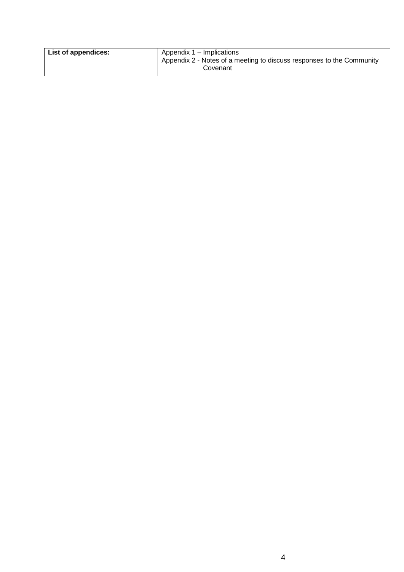| List of appendices: | Appendix 1 – Implications<br>Appendix 2 - Notes of a meeting to discuss responses to the Community<br>Covenant |
|---------------------|----------------------------------------------------------------------------------------------------------------|
|                     |                                                                                                                |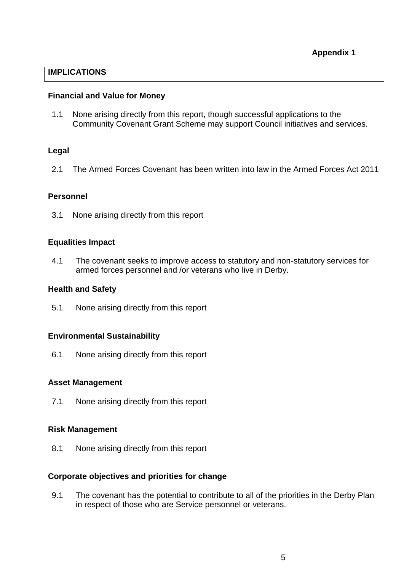# **IMPLICATIONS**

#### **Financial and Value for Money**

1.1 None arising directly from this report, though successful applications to the Community Covenant Grant Scheme may support Council initiatives and services.

# **Legal**

2.1 The Armed Forces Covenant has been written into law in the Armed Forces Act 2011

# **Personnel**

3.1 None arising directly from this report

#### **Equalities Impact**

4.1 The covenant seeks to improve access to statutory and non-statutory services for armed forces personnel and /or veterans who live in Derby.

#### **Health and Safety**

5.1 None arising directly from this report

# **Environmental Sustainability**

6.1 None arising directly from this report

# **Asset Management**

7.1 None arising directly from this report

# **Risk Management**

8.1 None arising directly from this report

# **Corporate objectives and priorities for change**

9.1 The covenant has the potential to contribute to all of the priorities in the Derby Plan in respect of those who are Service personnel or veterans.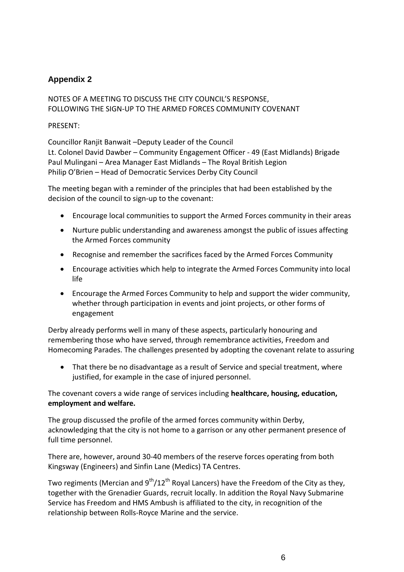# **Appendix 2**

# NOTES OF A MEETING TO DISCUSS THE CITY COUNCIL'S RESPONSE, FOLLOWING THE SIGN-UP TO THE ARMED FORCES COMMUNITY COVENANT

#### PRESENT:

Councillor Ranjit Banwait –Deputy Leader of the Council

Lt. Colonel David Dawber – Community Engagement Officer - 49 (East Midlands) Brigade Paul Mulingani – Area Manager East Midlands – The Royal British Legion Philip O'Brien – Head of Democratic Services Derby City Council

The meeting began with a reminder of the principles that had been established by the decision of the council to sign-up to the covenant:

- Encourage local communities to support the Armed Forces community in their areas
- Nurture public understanding and awareness amongst the public of issues affecting the Armed Forces community
- Recognise and remember the sacrifices faced by the Armed Forces Community
- Encourage activities which help to integrate the Armed Forces Community into local life
- Encourage the Armed Forces Community to help and support the wider community, whether through participation in events and joint projects, or other forms of engagement

Derby already performs well in many of these aspects, particularly honouring and remembering those who have served, through remembrance activities, Freedom and Homecoming Parades. The challenges presented by adopting the covenant relate to assuring

 That there be no disadvantage as a result of Service and special treatment, where justified, for example in the case of injured personnel.

# The covenant covers a wide range of services including **healthcare, housing, education, employment and welfare.**

The group discussed the profile of the armed forces community within Derby, acknowledging that the city is not home to a garrison or any other permanent presence of full time personnel.

There are, however, around 30-40 members of the reserve forces operating from both Kingsway (Engineers) and Sinfin Lane (Medics) TA Centres.

Two regiments (Mercian and  $9^{th}/12^{th}$  Royal Lancers) have the Freedom of the City as they, together with the Grenadier Guards, recruit locally. In addition the Royal Navy Submarine Service has Freedom and HMS Ambush is affiliated to the city, in recognition of the relationship between Rolls-Royce Marine and the service.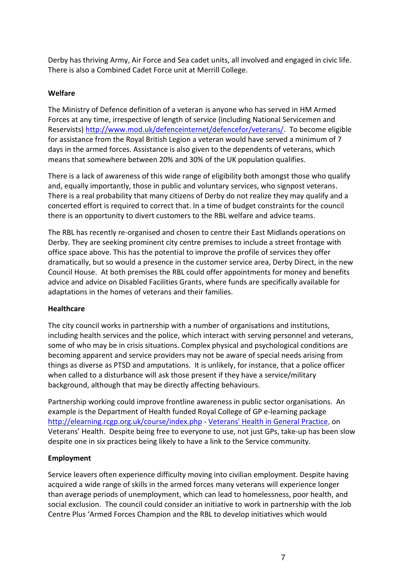Derby has thriving Army, Air Force and Sea cadet units, all involved and engaged in civic life. There is also a Combined Cadet Force unit at Merrill College.

#### **Welfare**

The Ministry of Defence definition of a veteran is anyone who has served in HM Armed Forces at any time, irrespective of length of service (including National Servicemen and Reservists) [http://www.mod.uk/defenceinternet/defencefor/veterans/.](http://www.mod.uk/defenceinternet/defencefor/veterans/) To become eligible for assistance from the Royal British Legion a veteran would have served a minimum of 7 days in the armed forces. Assistance is also given to the dependents of veterans, which means that somewhere between 20% and 30% of the UK population qualifies.

There is a lack of awareness of this wide range of eligibility both amongst those who qualify and, equally importantly, those in public and voluntary services, who signpost veterans. There is a real probability that many citizens of Derby do not realize they may qualify and a concerted effort is required to correct that. In a time of budget constraints for the council there is an opportunity to divert customers to the RBL welfare and advice teams.

The RBL has recently re-organised and chosen to centre their East Midlands operations on Derby. They are seeking prominent city centre premises to include a street frontage with office space above. This has the potential to improve the profile of services they offer dramatically, but so would a presence in the customer service area, Derby Direct, in the new Council House. At both premises the RBL could offer appointments for money and benefits advice and advice on Disabled Facilities Grants, where funds are specifically available for adaptations in the homes of veterans and their families.

#### **Healthcare**

The city council works in partnership with a number of organisations and institutions, including health services and the police, which interact with serving personnel and veterans, some of who may be in crisis situations. Complex physical and psychological conditions are becoming apparent and service providers may not be aware of special needs arising from things as diverse as PTSD and amputations. It is unlikely, for instance, that a police officer when called to a disturbance will ask those present if they have a service/military background, although that may be directly affecting behaviours.

Partnership working could improve frontline awareness in public sector organisations. An example is the Department of Health funded Royal College of GP e-learning package <http://elearning.rcgp.org.uk/course/index.php> - [Veterans' Health in General Practice,](http://elearning.rcgp.org.uk/course/view.php?id=87) on Veterans' Health. Despite being free to everyone to use, not just GPs, take-up has been slow despite one in six practices being likely to have a link to the Service community.

#### **Employment**

Service leavers often experience difficulty moving into civilian employment. Despite having acquired a wide range of skills in the armed forces many veterans will experience longer than average periods of unemployment, which can lead to homelessness, poor health, and social exclusion. The council could consider an initiative to work in partnership with the Job Centre Plus 'Armed Forces Champion and the RBL to develop initiatives which would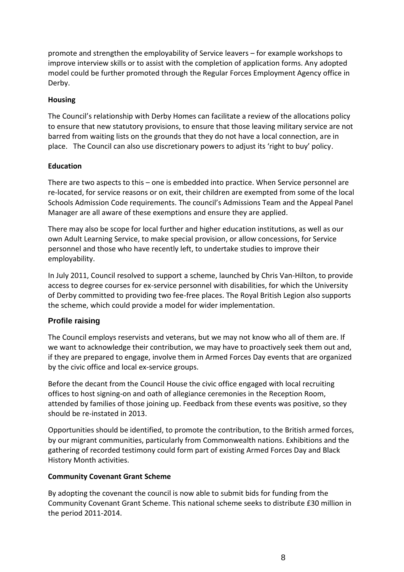promote and strengthen the employability of Service leavers – for example workshops to improve interview skills or to assist with the completion of application forms. Any adopted model could be further promoted through the Regular Forces Employment Agency office in Derby.

#### **Housing**

The Council's relationship with Derby Homes can facilitate a review of the allocations policy to ensure that new statutory provisions, to ensure that those leaving military service are not barred from waiting lists on the grounds that they do not have a local connection, are in place. The Council can also use discretionary powers to adjust its 'right to buy' policy.

#### **Education**

There are two aspects to this – one is embedded into practice. When Service personnel are re-located, for service reasons or on exit, their children are exempted from some of the local Schools Admission Code requirements. The council's Admissions Team and the Appeal Panel Manager are all aware of these exemptions and ensure they are applied.

There may also be scope for local further and higher education institutions, as well as our own Adult Learning Service, to make special provision, or allow concessions, for Service personnel and those who have recently left, to undertake studies to improve their employability.

In July 2011, Council resolved to support a scheme, launched by Chris Van-Hilton, to provide access to degree courses for ex-service personnel with disabilities, for which the University of Derby committed to providing two fee-free places. The Royal British Legion also supports the scheme, which could provide a model for wider implementation.

# **Profile raising**

The Council employs reservists and veterans, but we may not know who all of them are. If we want to acknowledge their contribution, we may have to proactively seek them out and, if they are prepared to engage, involve them in Armed Forces Day events that are organized by the civic office and local ex-service groups.

Before the decant from the Council House the civic office engaged with local recruiting offices to host signing-on and oath of allegiance ceremonies in the Reception Room, attended by families of those joining up. Feedback from these events was positive, so they should be re-instated in 2013.

Opportunities should be identified, to promote the contribution, to the British armed forces, by our migrant communities, particularly from Commonwealth nations. Exhibitions and the gathering of recorded testimony could form part of existing Armed Forces Day and Black History Month activities.

# **Community Covenant Grant Scheme**

By adopting the covenant the council is now able to submit bids for funding from the Community Covenant Grant Scheme. This national scheme seeks to distribute £30 million in the period 2011-2014.